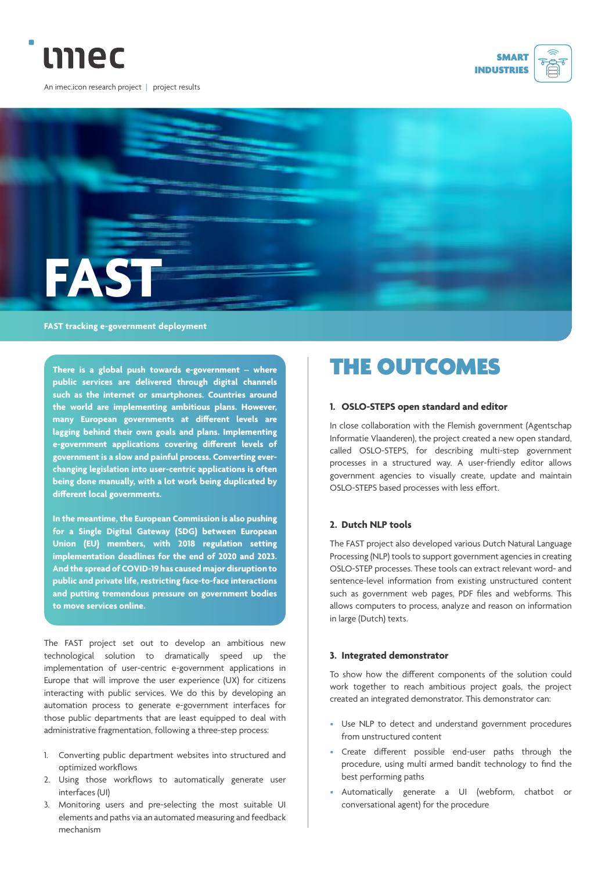

An imec.icon research project | project results





#### **FAST tracking e-government deployment**

**There is a global push towards e-government – where public services are delivered through digital channels such as the internet or smartphones. Countries around the world are implementing ambitious plans. However, many European governments at different levels are lagging behind their own goals and plans. Implementing e-government applications covering different levels of government is a slow and painful process. Converting everchanging legislation into user-centric applications is often being done manually, with a lot work being duplicated by different local governments.**

**In the meantime, the European Commission is also pushing for a Single Digital Gateway (SDG) between European Union (EU) members, with 2018 regulation setting implementation deadlines for the end of 2020 and 2023. And the spread of COVID-19 has caused major disruption to public and private life, restricting face-to-face interactions and putting tremendous pressure on government bodies to move services online.**

The FAST project set out to develop an ambitious new technological solution to dramatically speed up the implementation of user-centric e-government applications in Europe that will improve the user experience (UX) for citizens interacting with public services. We do this by developing an automation process to generate e-government interfaces for those public departments that are least equipped to deal with administrative fragmentation, following a three-step process:

- 1. Converting public department websites into structured and optimized workflows
- 2. Using those workflows to automatically generate user interfaces (UI)
- 3. Monitoring users and pre-selecting the most suitable UI elements and paths via an automated measuring and feedback mechanism

# THE OUTCOMES

#### **1. OSLO-STEPS open standard and editor**

In close collaboration with the Flemish government (Agentschap Informatie Vlaanderen), the project created a new open standard, called OSLO-STEPS, for describing multi-step government processes in a structured way. A user-friendly editor allows government agencies to visually create, update and maintain OSLO-STEPS based processes with less effort.

#### **2. Dutch NLP tools**

The FAST project also developed various Dutch Natural Language Processing (NLP) tools to support government agencies in creating OSLO-STEP processes. These tools can extract relevant word- and sentence-level information from existing unstructured content such as government web pages, PDF files and webforms. This allows computers to process, analyze and reason on information in large (Dutch) texts.

#### **3. Integrated demonstrator**

To show how the different components of the solution could work together to reach ambitious project goals, the project created an integrated demonstrator. This demonstrator can:

- **•** Use NLP to detect and understand government procedures from unstructured content
- **•** Create different possible end-user paths through the procedure, using multi armed bandit technology to find the best performing paths
- **•** Automatically generate a UI (webform, chatbot or conversational agent) for the procedure